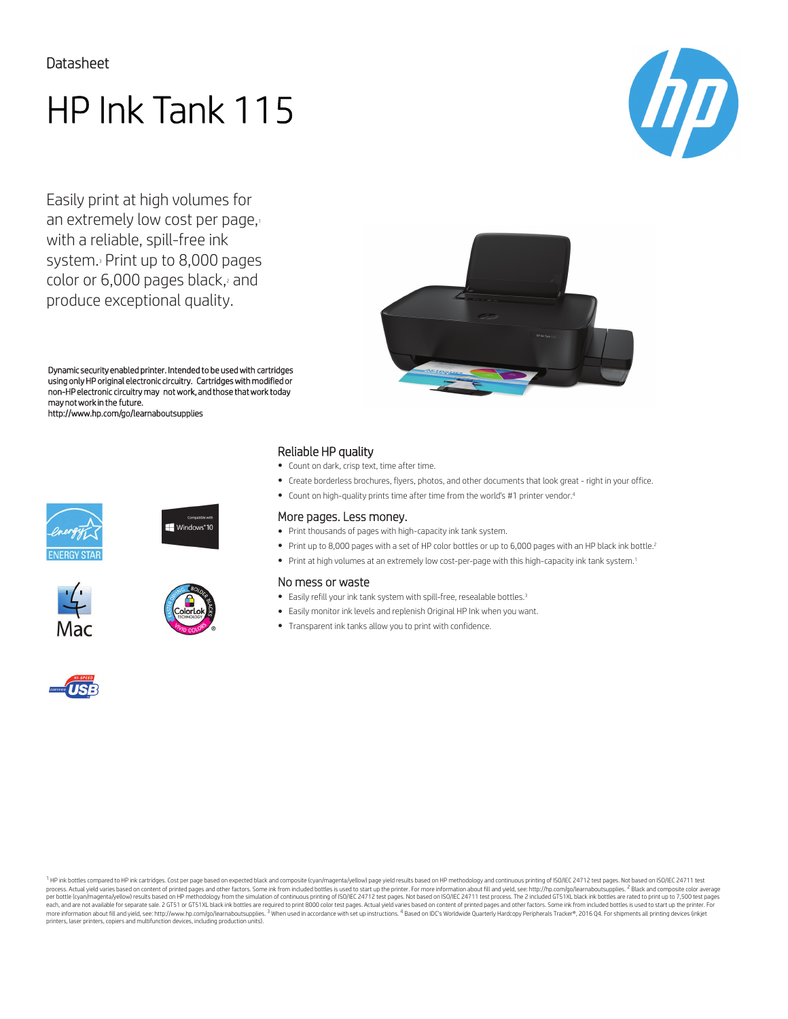# HP Ink Tank 115

Easily print at high volumes for an extremely low cost per page, with a reliable, spill-free ink system.<sup>3</sup> Print up to 8,000 pages color or 6,000 pages black, and produce exceptional quality.





Dynamic security enabled printer. Intended to be used with cartridges using only HP original electronic circuitry. Cartridges with modified or non-HP electronic circuitry may not work, and those that work today may not work in the future. http://www.hp.com/go/learnaboutsupplies











### Reliable HP quality

- Count on dark, crisp text, time after time.
- Create borderless brochures, flyers, photos, and other documents that look great right in your office.
- Count on high-quality prints time after time from the world's #1 printer vendor.4

#### More pages. Less money.

- Print thousands of pages with high-capacity ink tank system.
- Print up to 8,000 pages with a set of HP color bottles or up to 6,000 pages with an HP black ink bottle.<sup>2</sup>
- Print at high volumes at an extremely low cost-per-page with this high-capacity ink tank system.<sup>1</sup>

#### No mess or waste

- Easily refill your ink tank system with spill-free, resealable bottles.<sup>3</sup>
- Easily monitor ink levels and replenish Original HP Ink when you want.
- Transparent ink tanks allow you to print with confidence.



1 HP ink bottles compared to HP ink cartridges. Cost per page based on expected black and composite (cyan/magenta/yellow) page yield results based on HP methodology and continuous printing of ISO/IEC 24712 test pages. Not process. Actual yield varies based on content of printed pages and other factors. Some ink from included bottles is used to start up the printer. For more information about fill and yield, see: http://hp.com/go/learnabouts more information about fill and yield, see: [http://www.hp.com/go/learnaboutsupplies.](http://www.hp.com/go/learnaboutsupplies) <sup>3</sup> When used in accordance with set up instructions. <sup>4</sup> Based on IDC's Worldwide Quarterly Hardcopy Peripherals Tracker®, 2016 Q4. For